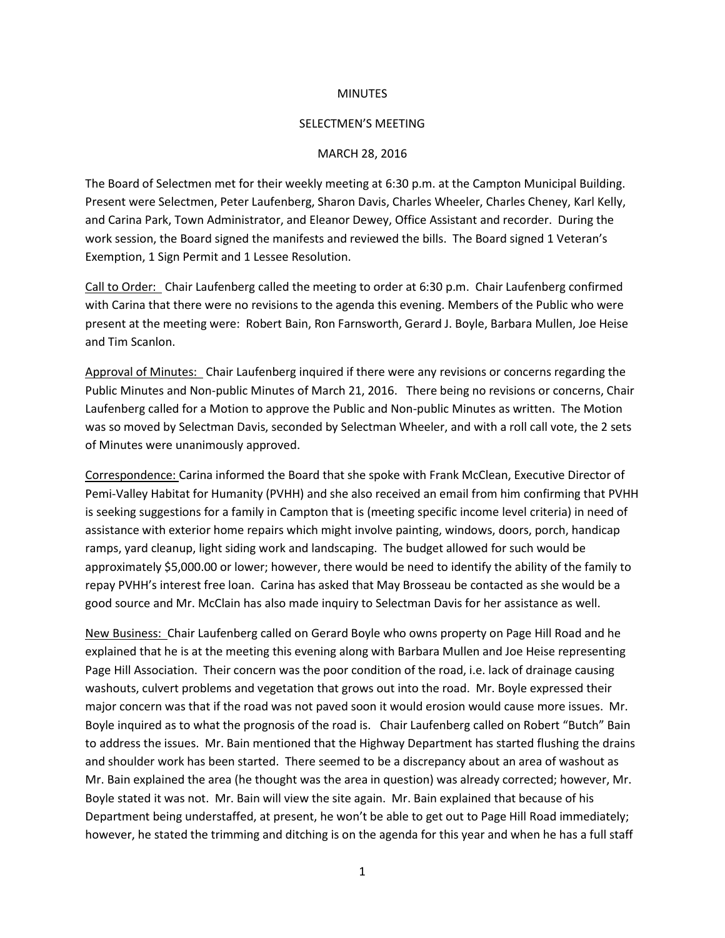## **MINUTES**

## SELECTMEN'S MEETING

## MARCH 28, 2016

The Board of Selectmen met for their weekly meeting at 6:30 p.m. at the Campton Municipal Building. Present were Selectmen, Peter Laufenberg, Sharon Davis, Charles Wheeler, Charles Cheney, Karl Kelly, and Carina Park, Town Administrator, and Eleanor Dewey, Office Assistant and recorder. During the work session, the Board signed the manifests and reviewed the bills. The Board signed 1 Veteran's Exemption, 1 Sign Permit and 1 Lessee Resolution.

Call to Order: Chair Laufenberg called the meeting to order at 6:30 p.m. Chair Laufenberg confirmed with Carina that there were no revisions to the agenda this evening. Members of the Public who were present at the meeting were: Robert Bain, Ron Farnsworth, Gerard J. Boyle, Barbara Mullen, Joe Heise and Tim Scanlon.

Approval of Minutes: Chair Laufenberg inquired if there were any revisions or concerns regarding the Public Minutes and Non-public Minutes of March 21, 2016. There being no revisions or concerns, Chair Laufenberg called for a Motion to approve the Public and Non-public Minutes as written. The Motion was so moved by Selectman Davis, seconded by Selectman Wheeler, and with a roll call vote, the 2 sets of Minutes were unanimously approved.

Correspondence: Carina informed the Board that she spoke with Frank McClean, Executive Director of Pemi-Valley Habitat for Humanity (PVHH) and she also received an email from him confirming that PVHH is seeking suggestions for a family in Campton that is (meeting specific income level criteria) in need of assistance with exterior home repairs which might involve painting, windows, doors, porch, handicap ramps, yard cleanup, light siding work and landscaping. The budget allowed for such would be approximately \$5,000.00 or lower; however, there would be need to identify the ability of the family to repay PVHH's interest free loan. Carina has asked that May Brosseau be contacted as she would be a good source and Mr. McClain has also made inquiry to Selectman Davis for her assistance as well.

New Business: Chair Laufenberg called on Gerard Boyle who owns property on Page Hill Road and he explained that he is at the meeting this evening along with Barbara Mullen and Joe Heise representing Page Hill Association. Their concern was the poor condition of the road, i.e. lack of drainage causing washouts, culvert problems and vegetation that grows out into the road. Mr. Boyle expressed their major concern was that if the road was not paved soon it would erosion would cause more issues. Mr. Boyle inquired as to what the prognosis of the road is. Chair Laufenberg called on Robert "Butch" Bain to address the issues. Mr. Bain mentioned that the Highway Department has started flushing the drains and shoulder work has been started. There seemed to be a discrepancy about an area of washout as Mr. Bain explained the area (he thought was the area in question) was already corrected; however, Mr. Boyle stated it was not. Mr. Bain will view the site again. Mr. Bain explained that because of his Department being understaffed, at present, he won't be able to get out to Page Hill Road immediately; however, he stated the trimming and ditching is on the agenda for this year and when he has a full staff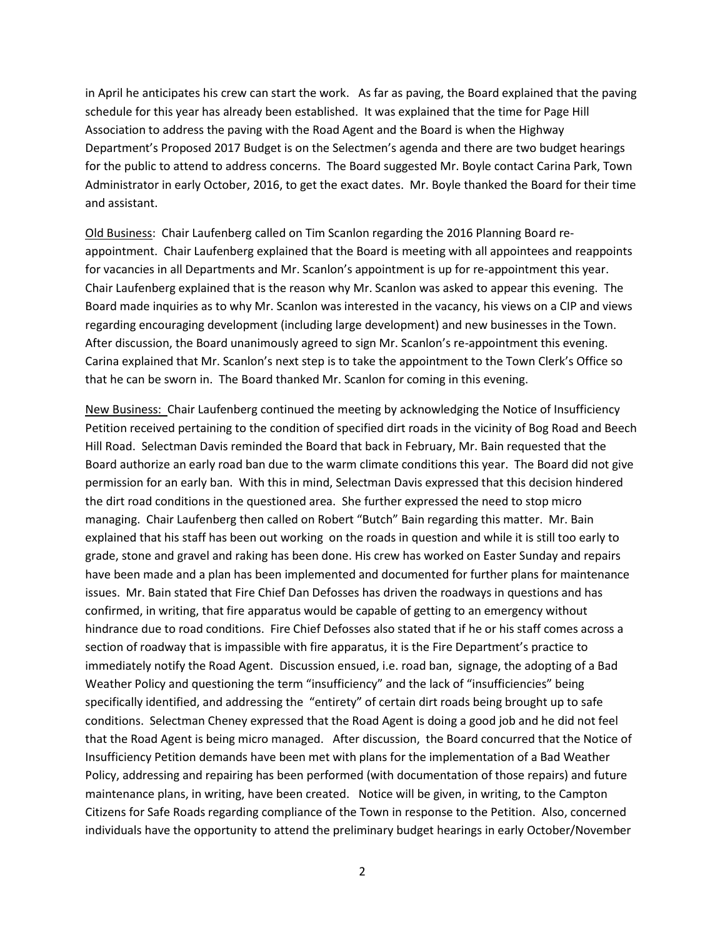in April he anticipates his crew can start the work. As far as paving, the Board explained that the paving schedule for this year has already been established. It was explained that the time for Page Hill Association to address the paving with the Road Agent and the Board is when the Highway Department's Proposed 2017 Budget is on the Selectmen's agenda and there are two budget hearings for the public to attend to address concerns. The Board suggested Mr. Boyle contact Carina Park, Town Administrator in early October, 2016, to get the exact dates. Mr. Boyle thanked the Board for their time and assistant.

Old Business: Chair Laufenberg called on Tim Scanlon regarding the 2016 Planning Board reappointment. Chair Laufenberg explained that the Board is meeting with all appointees and reappoints for vacancies in all Departments and Mr. Scanlon's appointment is up for re-appointment this year. Chair Laufenberg explained that is the reason why Mr. Scanlon was asked to appear this evening. The Board made inquiries as to why Mr. Scanlon was interested in the vacancy, his views on a CIP and views regarding encouraging development (including large development) and new businesses in the Town. After discussion, the Board unanimously agreed to sign Mr. Scanlon's re-appointment this evening. Carina explained that Mr. Scanlon's next step is to take the appointment to the Town Clerk's Office so that he can be sworn in. The Board thanked Mr. Scanlon for coming in this evening.

New Business: Chair Laufenberg continued the meeting by acknowledging the Notice of Insufficiency Petition received pertaining to the condition of specified dirt roads in the vicinity of Bog Road and Beech Hill Road. Selectman Davis reminded the Board that back in February, Mr. Bain requested that the Board authorize an early road ban due to the warm climate conditions this year. The Board did not give permission for an early ban. With this in mind, Selectman Davis expressed that this decision hindered the dirt road conditions in the questioned area. She further expressed the need to stop micro managing. Chair Laufenberg then called on Robert "Butch" Bain regarding this matter. Mr. Bain explained that his staff has been out working on the roads in question and while it is still too early to grade, stone and gravel and raking has been done. His crew has worked on Easter Sunday and repairs have been made and a plan has been implemented and documented for further plans for maintenance issues. Mr. Bain stated that Fire Chief Dan Defosses has driven the roadways in questions and has confirmed, in writing, that fire apparatus would be capable of getting to an emergency without hindrance due to road conditions. Fire Chief Defosses also stated that if he or his staff comes across a section of roadway that is impassible with fire apparatus, it is the Fire Department's practice to immediately notify the Road Agent. Discussion ensued, i.e. road ban, signage, the adopting of a Bad Weather Policy and questioning the term "insufficiency" and the lack of "insufficiencies" being specifically identified, and addressing the "entirety" of certain dirt roads being brought up to safe conditions. Selectman Cheney expressed that the Road Agent is doing a good job and he did not feel that the Road Agent is being micro managed. After discussion, the Board concurred that the Notice of Insufficiency Petition demands have been met with plans for the implementation of a Bad Weather Policy, addressing and repairing has been performed (with documentation of those repairs) and future maintenance plans, in writing, have been created. Notice will be given, in writing, to the Campton Citizens for Safe Roads regarding compliance of the Town in response to the Petition. Also, concerned individuals have the opportunity to attend the preliminary budget hearings in early October/November